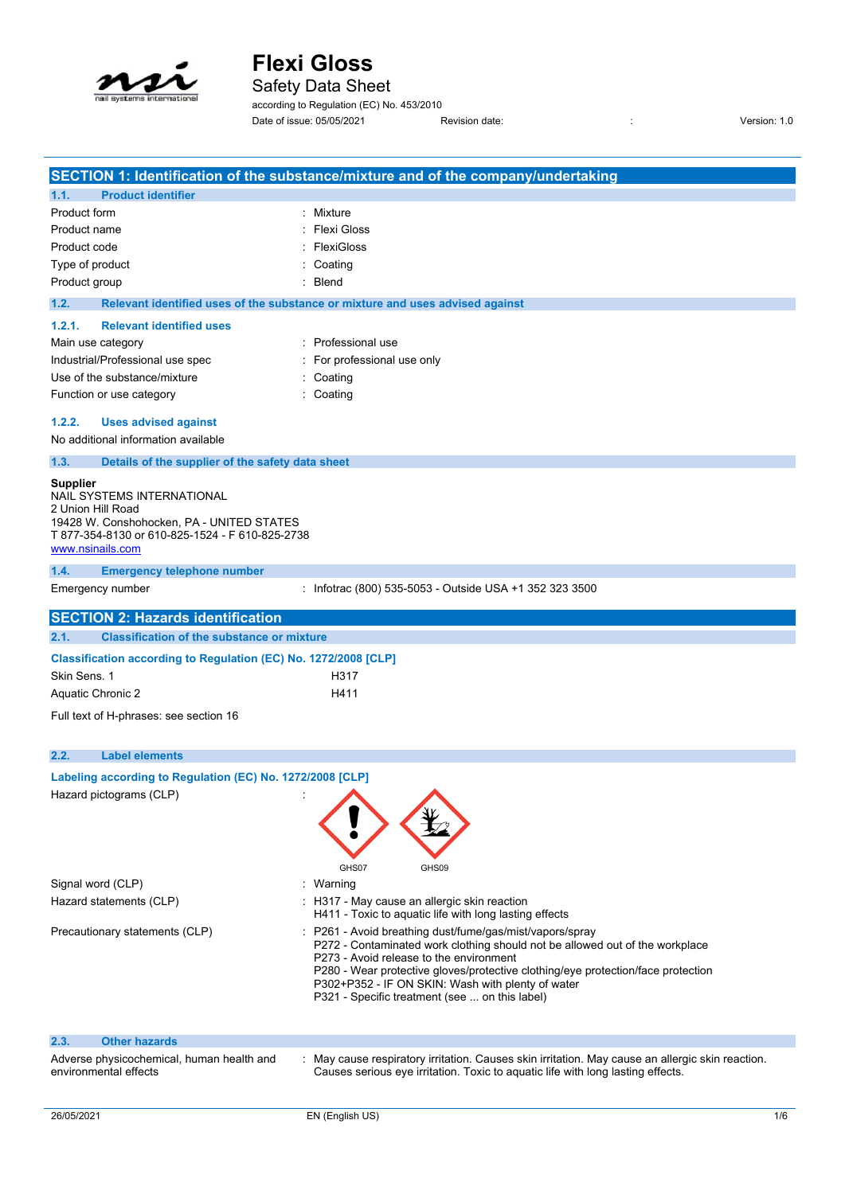

Safety Data Sheet

according to Regulation (EC) No. 453/2010 Date of issue: 05/05/2021 Revision date: <br>
Revision date:  $\frac{1}{2}$  Revision: 1.0

|                                                                 | SECTION 1: Identification of the substance/mixture and of the company/undertaking                                                      |     |
|-----------------------------------------------------------------|----------------------------------------------------------------------------------------------------------------------------------------|-----|
| <b>Product identifier</b><br>1.1.                               |                                                                                                                                        |     |
| Product form                                                    | : Mixture                                                                                                                              |     |
| Product name                                                    | <b>Flexi Gloss</b>                                                                                                                     |     |
| Product code                                                    | FlexiGloss                                                                                                                             |     |
| Type of product                                                 | Coating                                                                                                                                |     |
| Product group                                                   | Blend                                                                                                                                  |     |
| 1.2.                                                            | Relevant identified uses of the substance or mixture and uses advised against                                                          |     |
| 1.2.1.<br><b>Relevant identified uses</b>                       |                                                                                                                                        |     |
| Main use category                                               | : Professional use                                                                                                                     |     |
| Industrial/Professional use spec                                | : For professional use only                                                                                                            |     |
| Use of the substance/mixture                                    | : Coating                                                                                                                              |     |
| Function or use category                                        | : Coating                                                                                                                              |     |
| 1.2.2.<br><b>Uses advised against</b>                           |                                                                                                                                        |     |
| No additional information available                             |                                                                                                                                        |     |
| 1.3.<br>Details of the supplier of the safety data sheet        |                                                                                                                                        |     |
| Supplier                                                        |                                                                                                                                        |     |
| NAIL SYSTEMS INTERNATIONAL                                      |                                                                                                                                        |     |
| 2 Union Hill Road<br>19428 W. Conshohocken, PA - UNITED STATES  |                                                                                                                                        |     |
| T 877-354-8130 or 610-825-1524 - F 610-825-2738                 |                                                                                                                                        |     |
| www.nsinails.com                                                |                                                                                                                                        |     |
| 1.4.<br><b>Emergency telephone number</b>                       |                                                                                                                                        |     |
| Emergency number                                                | : Infotrac (800) 535-5053 - Outside USA +1 352 323 3500                                                                                |     |
| <b>SECTION 2: Hazards identification</b>                        |                                                                                                                                        |     |
| <b>Classification of the substance or mixture</b><br>2.1.       |                                                                                                                                        |     |
| Classification according to Regulation (EC) No. 1272/2008 [CLP] |                                                                                                                                        |     |
| Skin Sens. 1                                                    | H317                                                                                                                                   |     |
| <b>Aquatic Chronic 2</b>                                        | H411                                                                                                                                   |     |
| Full text of H-phrases: see section 16                          |                                                                                                                                        |     |
|                                                                 |                                                                                                                                        |     |
| 2.2.<br><b>Label elements</b>                                   |                                                                                                                                        |     |
| Labeling according to Regulation (EC) No. 1272/2008 [CLP]       |                                                                                                                                        |     |
| Hazard pictograms (CLP)                                         | ◢                                                                                                                                      |     |
|                                                                 |                                                                                                                                        |     |
|                                                                 |                                                                                                                                        |     |
|                                                                 |                                                                                                                                        |     |
|                                                                 | GHS07<br>GHS09                                                                                                                         |     |
| Signal word (CLP)                                               | : Warning                                                                                                                              |     |
| Hazard statements (CLP)                                         | : H317 - May cause an allergic skin reaction                                                                                           |     |
|                                                                 | H411 - Toxic to aquatic life with long lasting effects                                                                                 |     |
| Precautionary statements (CLP)                                  | P261 - Avoid breathing dust/fume/gas/mist/vapors/spray<br>P272 - Contaminated work clothing should not be allowed out of the workplace |     |
|                                                                 | P273 - Avoid release to the environment                                                                                                |     |
|                                                                 | P280 - Wear protective gloves/protective clothing/eye protection/face protection<br>P302+P352 - IF ON SKIN: Wash with plenty of water  |     |
|                                                                 | P321 - Specific treatment (see  on this label)                                                                                         |     |
|                                                                 |                                                                                                                                        |     |
| 2.3.<br><b>Other hazards</b>                                    |                                                                                                                                        |     |
| Adverse physicochemical, human health and                       | May cause respiratory irritation. Causes skin irritation. May cause an allergic skin reaction.                                         |     |
| environmental effects                                           | Causes serious eye irritation. Toxic to aquatic life with long lasting effects.                                                        |     |
|                                                                 |                                                                                                                                        |     |
| 26/05/2021                                                      | EN (English US)                                                                                                                        | 1/6 |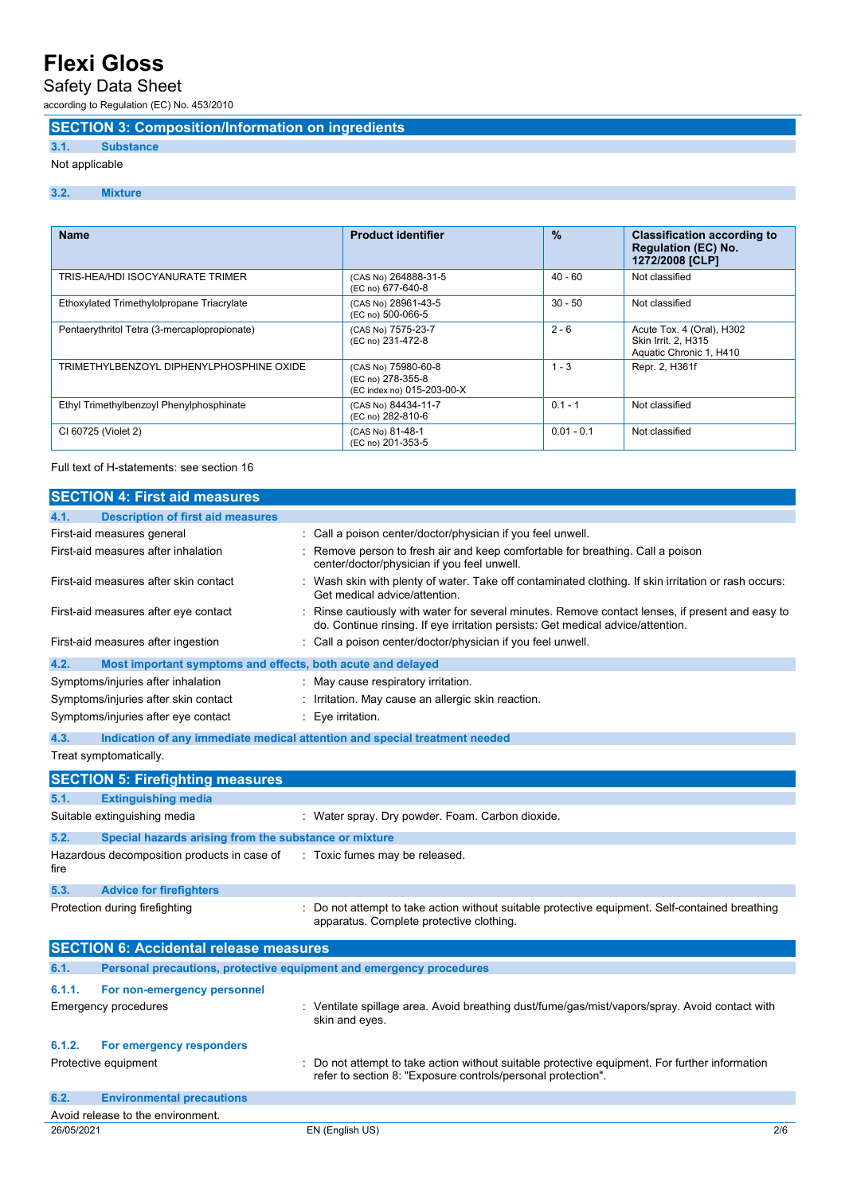Safety Data Sheet

according to Regulation (EC) No. 453/2010

### **SECTION 3: Composition/Information on ingredients**

#### **3.1. Substance**

Not applicable

#### **3.2. Mixture**

| <b>Name</b>                                  | <b>Product identifier</b>                                              | $\frac{9}{6}$ | <b>Classification according to</b><br><b>Regulation (EC) No.</b><br>1272/2008 [CLP] |
|----------------------------------------------|------------------------------------------------------------------------|---------------|-------------------------------------------------------------------------------------|
| TRIS-HEA/HDI ISOCYANURATE TRIMER             | (CAS No) 264888-31-5<br>(EC no) 677-640-8                              | $40 - 60$     | Not classified                                                                      |
| Ethoxylated Trimethylolpropane Triacrylate   | (CAS No) 28961-43-5<br>(EC no) 500-066-5                               | $30 - 50$     | Not classified                                                                      |
| Pentaerythritol Tetra (3-mercaplopropionate) | (CAS No) 7575-23-7<br>(EC no) 231-472-8                                | $2 - 6$       | Acute Tox. 4 (Oral), H302<br>Skin Irrit. 2, H315<br>Aquatic Chronic 1, H410         |
| TRIMETHYLBENZOYL DIPHENYLPHOSPHINE OXIDE     | (CAS No) 75980-60-8<br>(EC no) 278-355-8<br>(EC index no) 015-203-00-X | $1 - 3$       | Repr. 2, H361f                                                                      |
| Ethyl Trimethylbenzoyl Phenylphosphinate     | (CAS No) 84434-11-7<br>(EC no) 282-810-6                               | $0.1 - 1$     | Not classified                                                                      |
| CI 60725 (Violet 2)                          | (CAS No) 81-48-1<br>(EC no) 201-353-5                                  | $0.01 - 0.1$  | Not classified                                                                      |

Full text of H-statements: see section 16

|            | <b>SECTION 4: First aid measures</b>                                       |                                                                                                                                                                                     |
|------------|----------------------------------------------------------------------------|-------------------------------------------------------------------------------------------------------------------------------------------------------------------------------------|
| 4.1.       | <b>Description of first aid measures</b>                                   |                                                                                                                                                                                     |
|            | First-aid measures general                                                 | : Call a poison center/doctor/physician if you feel unwell.                                                                                                                         |
|            | First-aid measures after inhalation                                        | : Remove person to fresh air and keep comfortable for breathing. Call a poison<br>center/doctor/physician if you feel unwell.                                                       |
|            | First-aid measures after skin contact                                      | Wash skin with plenty of water. Take off contaminated clothing. If skin irritation or rash occurs:<br>Get medical advice/attention.                                                 |
|            | First-aid measures after eye contact                                       | : Rinse cautiously with water for several minutes. Remove contact lenses, if present and easy to<br>do. Continue rinsing. If eye irritation persists: Get medical advice/attention. |
|            | First-aid measures after ingestion                                         | : Call a poison center/doctor/physician if you feel unwell.                                                                                                                         |
| 4.2.       | Most important symptoms and effects, both acute and delayed                |                                                                                                                                                                                     |
|            | Symptoms/injuries after inhalation                                         | May cause respiratory irritation.                                                                                                                                                   |
|            | Symptoms/injuries after skin contact                                       | : Irritation. May cause an allergic skin reaction.                                                                                                                                  |
|            | Symptoms/injuries after eye contact                                        | Eye irritation.                                                                                                                                                                     |
| 4.3.       | Indication of any immediate medical attention and special treatment needed |                                                                                                                                                                                     |
|            | Treat symptomatically.                                                     |                                                                                                                                                                                     |
|            | <b>SECTION 5: Firefighting measures</b>                                    |                                                                                                                                                                                     |
| 5.1.       | <b>Extinguishing media</b>                                                 |                                                                                                                                                                                     |
|            | Suitable extinguishing media                                               | : Water spray. Dry powder. Foam. Carbon dioxide.                                                                                                                                    |
| 5.2.       | Special hazards arising from the substance or mixture                      |                                                                                                                                                                                     |
| fire       | Hazardous decomposition products in case of                                | : Toxic fumes may be released.                                                                                                                                                      |
| 5.3.       | <b>Advice for firefighters</b>                                             |                                                                                                                                                                                     |
|            | Protection during firefighting                                             | : Do not attempt to take action without suitable protective equipment. Self-contained breathing<br>apparatus. Complete protective clothing.                                         |
|            | <b>SECTION 6: Accidental release measures</b>                              |                                                                                                                                                                                     |
| 6.1.       | Personal precautions, protective equipment and emergency procedures        |                                                                                                                                                                                     |
| 6.1.1.     | For non-emergency personnel                                                |                                                                                                                                                                                     |
|            | <b>Emergency procedures</b>                                                | : Ventilate spillage area. Avoid breathing dust/fume/gas/mist/vapors/spray. Avoid contact with<br>skin and eyes.                                                                    |
| 6.1.2.     | For emergency responders                                                   |                                                                                                                                                                                     |
|            | Protective equipment                                                       | Do not attempt to take action without suitable protective equipment. For further information<br>refer to section 8: "Exposure controls/personal protection".                        |
| 6.2.       | <b>Environmental precautions</b>                                           |                                                                                                                                                                                     |
|            | Avoid release to the environment.                                          |                                                                                                                                                                                     |
| 26/05/2021 |                                                                            | EN (English US)<br>2/6                                                                                                                                                              |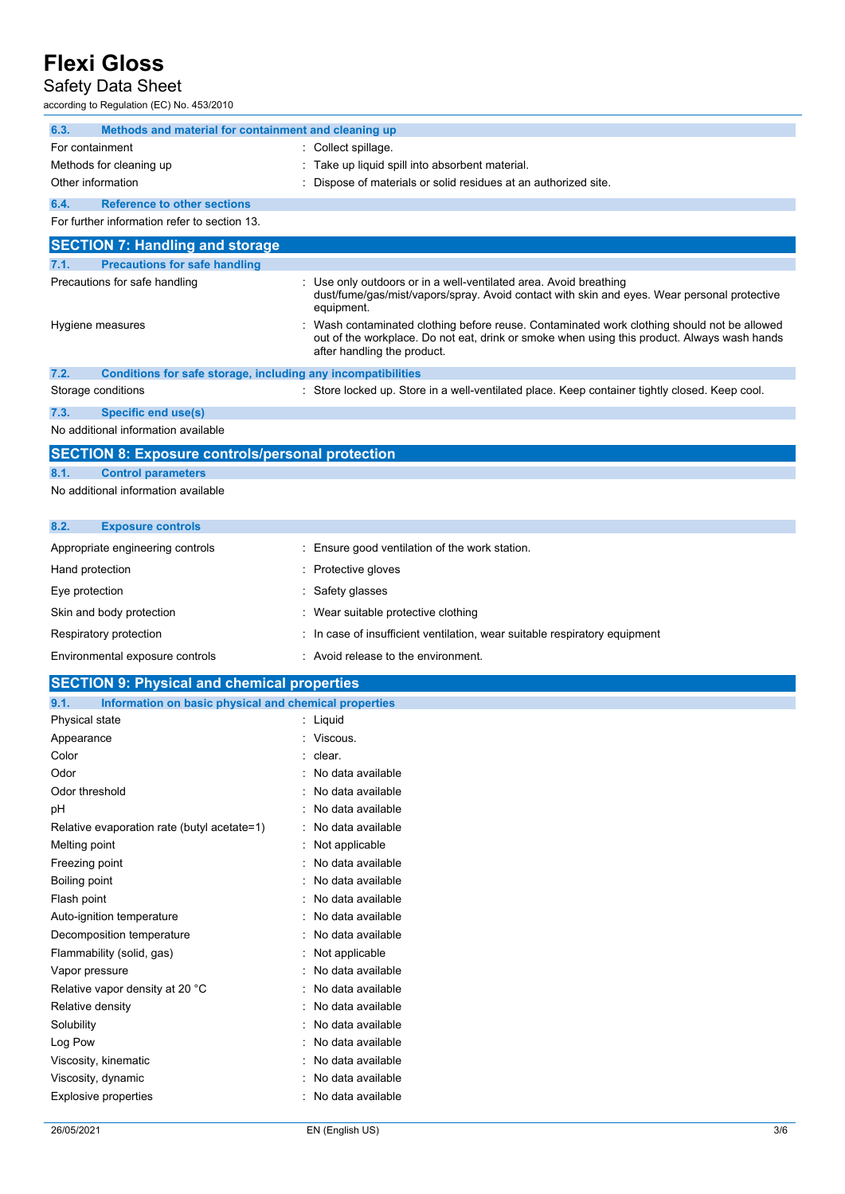### Safety Data Sheet

according to Regulation (EC) No. 453/2010

| according to Regulation (EC) No. 453/2010                                       |                                                                                                                                                                                                                         |
|---------------------------------------------------------------------------------|-------------------------------------------------------------------------------------------------------------------------------------------------------------------------------------------------------------------------|
| 6.3.<br>Methods and material for containment and cleaning up                    |                                                                                                                                                                                                                         |
| For containment                                                                 | : Collect spillage.                                                                                                                                                                                                     |
| Methods for cleaning up                                                         | Take up liquid spill into absorbent material.                                                                                                                                                                           |
| Other information                                                               | Dispose of materials or solid residues at an authorized site.                                                                                                                                                           |
| 6.4.<br><b>Reference to other sections</b>                                      |                                                                                                                                                                                                                         |
| For further information refer to section 13.                                    |                                                                                                                                                                                                                         |
| <b>SECTION 7: Handling and storage</b>                                          |                                                                                                                                                                                                                         |
| <b>Precautions for safe handling</b><br>7.1.                                    |                                                                                                                                                                                                                         |
| Precautions for safe handling                                                   | Use only outdoors or in a well-ventilated area. Avoid breathing<br>dust/fume/gas/mist/vapors/spray. Avoid contact with skin and eyes. Wear personal protective<br>equipment.                                            |
| Hygiene measures                                                                | Wash contaminated clothing before reuse. Contaminated work clothing should not be allowed<br>out of the workplace. Do not eat, drink or smoke when using this product. Always wash hands<br>after handling the product. |
| 7.2.<br>Conditions for safe storage, including any incompatibilities            |                                                                                                                                                                                                                         |
| Storage conditions                                                              | : Store locked up. Store in a well-ventilated place. Keep container tightly closed. Keep cool.                                                                                                                          |
| 7.3.<br><b>Specific end use(s)</b>                                              |                                                                                                                                                                                                                         |
| No additional information available                                             |                                                                                                                                                                                                                         |
| <b>SECTION 8: Exposure controls/personal protection</b>                         |                                                                                                                                                                                                                         |
| 8.1.<br><b>Control parameters</b>                                               |                                                                                                                                                                                                                         |
| No additional information available                                             |                                                                                                                                                                                                                         |
|                                                                                 |                                                                                                                                                                                                                         |
| 8.2.<br><b>Exposure controls</b>                                                |                                                                                                                                                                                                                         |
| Appropriate engineering controls                                                | Ensure good ventilation of the work station.                                                                                                                                                                            |
| Hand protection                                                                 | Protective gloves                                                                                                                                                                                                       |
| Eye protection                                                                  | Safety glasses                                                                                                                                                                                                          |
| Skin and body protection                                                        | Wear suitable protective clothing                                                                                                                                                                                       |
| Respiratory protection                                                          | In case of insufficient ventilation, wear suitable respiratory equipment                                                                                                                                                |
| Environmental exposure controls                                                 | Avoid release to the environment.                                                                                                                                                                                       |
|                                                                                 |                                                                                                                                                                                                                         |
| <b>SECTION 9: Physical and chemical properties</b>                              |                                                                                                                                                                                                                         |
| 9.1.<br>Information on basic physical and chemical properties<br>Physical state | : Liquid                                                                                                                                                                                                                |
| Appearance                                                                      | : Viscous.                                                                                                                                                                                                              |
| Color                                                                           | clear.                                                                                                                                                                                                                  |
| Odor                                                                            | No data available                                                                                                                                                                                                       |
| Odor threshold                                                                  | No data available                                                                                                                                                                                                       |
| рH                                                                              | No data available                                                                                                                                                                                                       |
| Relative evaporation rate (butyl acetate=1)                                     | No data available                                                                                                                                                                                                       |
| Melting point                                                                   | Not applicable                                                                                                                                                                                                          |
| Freezing point                                                                  | No data available                                                                                                                                                                                                       |
| Boiling point                                                                   | No data available                                                                                                                                                                                                       |
| Floch point                                                                     | والمالح الأسريمان وبالمرامل                                                                                                                                                                                             |

| Boiling point                   | : No data available |
|---------------------------------|---------------------|
| Flash point                     | : No data available |
| Auto-ignition temperature       | : No data available |
| Decomposition temperature       | : No data available |
| Flammability (solid, gas)       | $:$ Not applicable  |
| Vapor pressure                  | : No data available |
| Relative vapor density at 20 °C | : No data available |
| Relative density                | : No data available |
| Solubility                      | : No data available |
| Log Pow                         | : No data available |
| Viscosity, kinematic            | : No data available |
| Viscosity, dynamic              | : No data available |
| <b>Explosive properties</b>     | : No data available |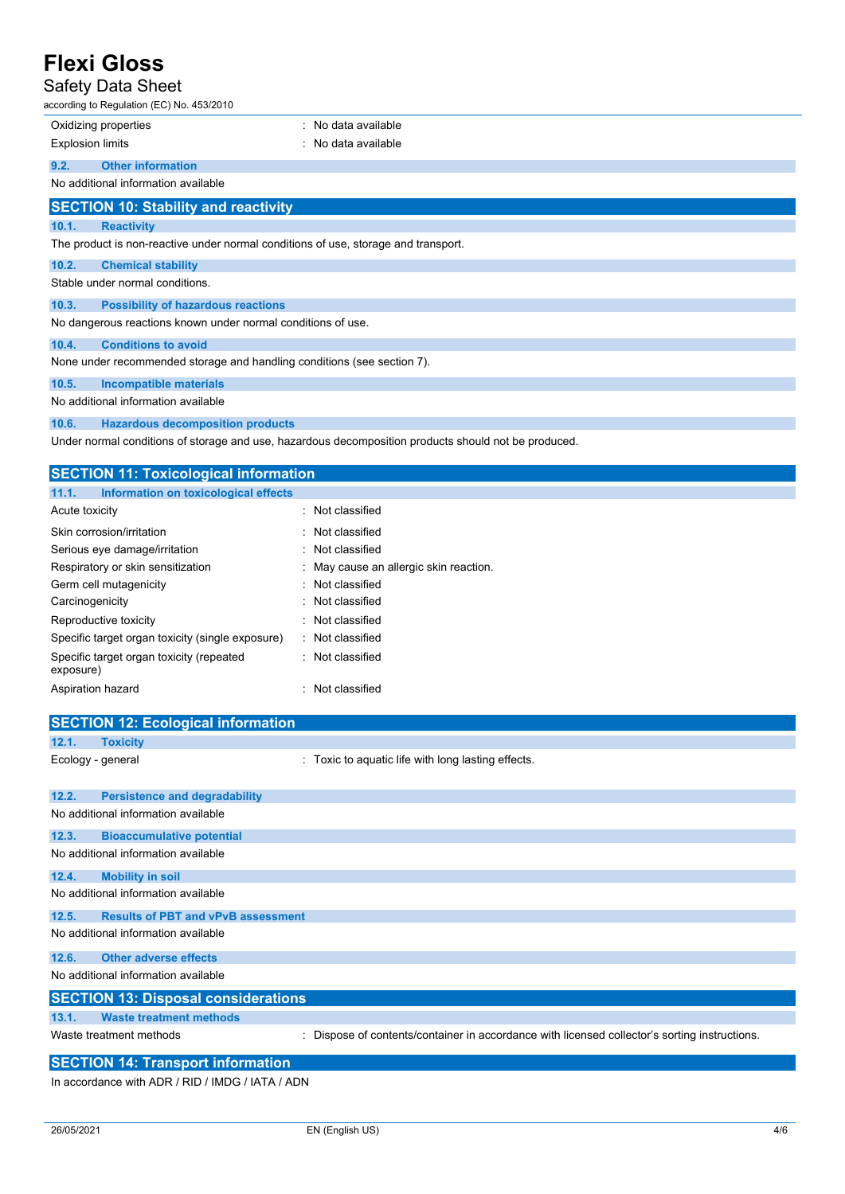### Safety Data Sheet

| ----- | according to Regulation (EC) No. 453/2010                                          |                     |
|-------|------------------------------------------------------------------------------------|---------------------|
|       | Oxidizing properties                                                               | : No data available |
|       | <b>Explosion limits</b>                                                            | : No data available |
| 9.2.  | <b>Other information</b>                                                           |                     |
|       | No additional information available                                                |                     |
|       | <b>SECTION 10: Stability and reactivity</b>                                        |                     |
| 10.1. | <b>Reactivity</b>                                                                  |                     |
|       | The product is non-reactive under normal conditions of use, storage and transport. |                     |
| 10.2. | <b>Chemical stability</b>                                                          |                     |
|       | Stable under normal conditions.                                                    |                     |
| 10.3. | <b>Possibility of hazardous reactions</b>                                          |                     |
|       | No dangerous reactions known under normal conditions of use.                       |                     |
| 10.4. | <b>Conditions to avoid</b>                                                         |                     |
|       | None under recommended storage and handling conditions (see section 7).            |                     |
| 10.5. | <b>Incompatible materials</b>                                                      |                     |
|       | No additional information available                                                |                     |

**10.6. Hazardous decomposition products**

Under normal conditions of storage and use, hazardous decomposition products should not be produced.

| <b>SECTION 11: Toxicological information</b>          |                                        |  |
|-------------------------------------------------------|----------------------------------------|--|
| 11.1.<br>Information on toxicological effects         |                                        |  |
| Acute toxicity                                        | : Not classified                       |  |
| Skin corrosion/irritation                             | : Not classified                       |  |
| Serious eye damage/irritation                         | : Not classified                       |  |
| Respiratory or skin sensitization                     | : May cause an allergic skin reaction. |  |
| Germ cell mutagenicity                                | : Not classified                       |  |
| Carcinogenicity                                       | : Not classified                       |  |
| Reproductive toxicity                                 | : Not classified                       |  |
| Specific target organ toxicity (single exposure)      | : Not classified                       |  |
| Specific target organ toxicity (repeated<br>exposure) | : Not classified                       |  |
| Aspiration hazard                                     | Not classified                         |  |
|                                                       |                                        |  |
| <b>SECTION 12: Ecological information</b>             |                                        |  |
| 12.1.<br><b>Toxicity</b>                              |                                        |  |

| -------         | . |
|-----------------|---|
|                 |   |
| Ecology goneral |   |

Ecology - general **Ecology** - general **interpretational intervals**  $\cdot$  Toxic to aquatic life with long lasting effects.

| 12.2. | <b>Persistence and degradability</b>                                                                                                                                                                                                                                                                                                                          |                                                                                             |
|-------|---------------------------------------------------------------------------------------------------------------------------------------------------------------------------------------------------------------------------------------------------------------------------------------------------------------------------------------------------------------|---------------------------------------------------------------------------------------------|
|       | No additional information available                                                                                                                                                                                                                                                                                                                           |                                                                                             |
| 12.3. | <b>Bioaccumulative potential</b>                                                                                                                                                                                                                                                                                                                              |                                                                                             |
|       | No additional information available                                                                                                                                                                                                                                                                                                                           |                                                                                             |
| 12.4. | <b>Mobility in soil</b>                                                                                                                                                                                                                                                                                                                                       |                                                                                             |
|       | No additional information available                                                                                                                                                                                                                                                                                                                           |                                                                                             |
| 12.5. | <b>Results of PBT and vPvB assessment</b>                                                                                                                                                                                                                                                                                                                     |                                                                                             |
|       | No additional information available                                                                                                                                                                                                                                                                                                                           |                                                                                             |
| 12.6. | <b>Other adverse effects</b>                                                                                                                                                                                                                                                                                                                                  |                                                                                             |
|       | No additional information available                                                                                                                                                                                                                                                                                                                           |                                                                                             |
|       | <b>SECTION 13: Disposal considerations</b>                                                                                                                                                                                                                                                                                                                    |                                                                                             |
| 13.1. | <b>Waste treatment methods</b>                                                                                                                                                                                                                                                                                                                                |                                                                                             |
|       | Waste treatment methods<br>÷                                                                                                                                                                                                                                                                                                                                  | Dispose of contents/container in accordance with licensed collector's sorting instructions. |
|       | $\alpha$ = $\alpha$ = $\alpha$ + $\alpha$ + $\alpha$ + $\alpha$ + $\alpha$ + $\alpha$ + $\alpha$ + $\alpha$ + $\alpha$ + $\alpha$ + $\alpha$ + $\alpha$ + $\alpha$ + $\alpha$ + $\alpha$ + $\alpha$ + $\alpha$ + $\alpha$ + $\alpha$ + $\alpha$ + $\alpha$ + $\alpha$ + $\alpha$ + $\alpha$ + $\alpha$ + $\alpha$ + $\alpha$ + $\alpha$ + $\alpha$ + $\alpha$ |                                                                                             |

#### **SECTION 14: Transport information**

In accordance with ADR / RID / IMDG / IATA / ADN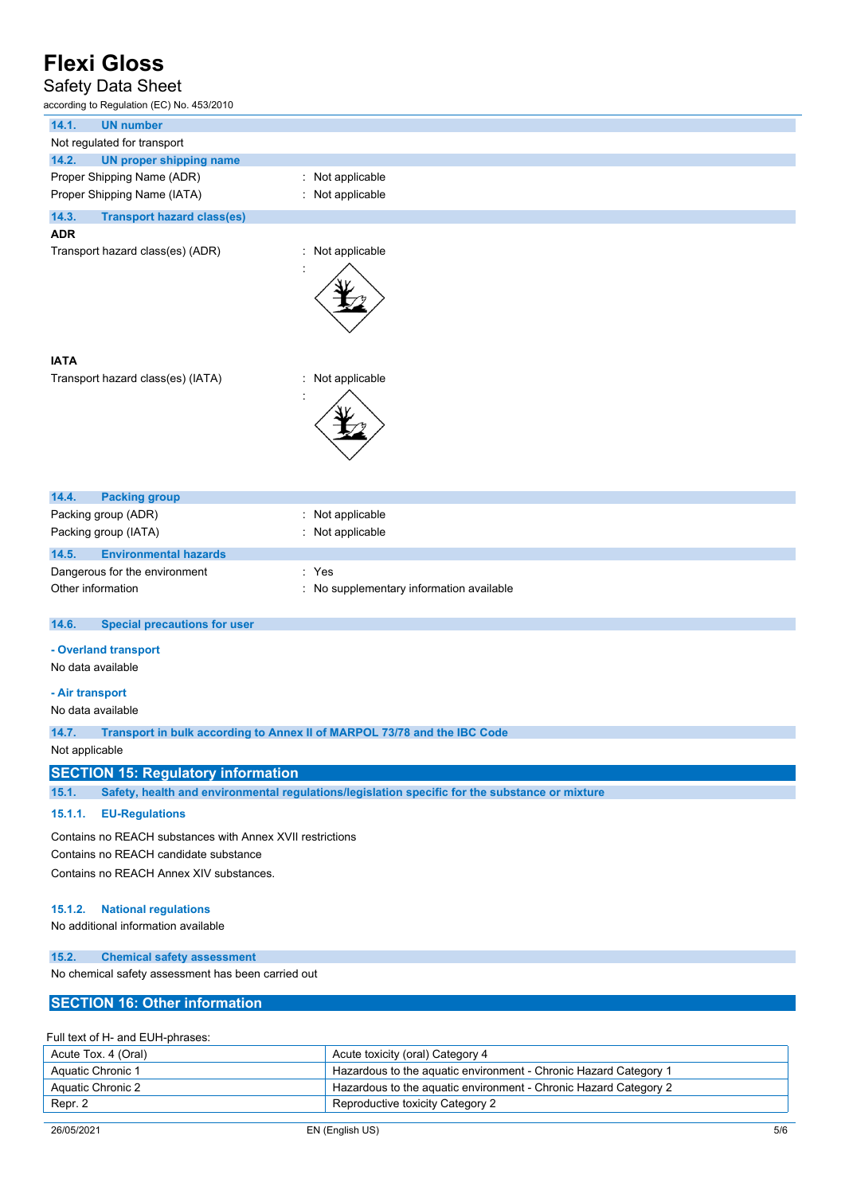### Safety Data Sheet

according to Regulation (EC) No. 453/2010

| according to Regulation (EC) No. 453/2010                                                          |                                                                                                |
|----------------------------------------------------------------------------------------------------|------------------------------------------------------------------------------------------------|
| 14.1.<br><b>UN number</b>                                                                          |                                                                                                |
| Not regulated for transport                                                                        |                                                                                                |
| 14.2.<br><b>UN proper shipping name</b>                                                            |                                                                                                |
| Proper Shipping Name (ADR)                                                                         | Not applicable                                                                                 |
| Proper Shipping Name (IATA)                                                                        | Not applicable                                                                                 |
| 14.3.<br><b>Transport hazard class(es)</b>                                                         |                                                                                                |
| <b>ADR</b>                                                                                         |                                                                                                |
| Transport hazard class(es) (ADR)                                                                   | : Not applicable                                                                               |
|                                                                                                    |                                                                                                |
| <b>IATA</b><br>Transport hazard class(es) (IATA)                                                   | Not applicable                                                                                 |
| 14.4.<br><b>Packing group</b>                                                                      |                                                                                                |
| Packing group (ADR)                                                                                | : Not applicable                                                                               |
| Packing group (IATA)                                                                               | Not applicable                                                                                 |
| 14.5.<br><b>Environmental hazards</b>                                                              |                                                                                                |
| Dangerous for the environment                                                                      | : Yes                                                                                          |
| Other information                                                                                  | : No supplementary information available                                                       |
| 14.6.<br><b>Special precautions for user</b>                                                       |                                                                                                |
| - Overland transport<br>No data available                                                          |                                                                                                |
| - Air transport<br>No data available                                                               |                                                                                                |
| 14.7.                                                                                              | Transport in bulk according to Annex II of MARPOL 73/78 and the IBC Code                       |
| Not applicable                                                                                     |                                                                                                |
| <b>SECTION 15: Regulatory information</b>                                                          |                                                                                                |
| 15.1.                                                                                              | Safety, health and environmental regulations/legislation specific for the substance or mixture |
|                                                                                                    |                                                                                                |
| 15.1.1.<br><b>EU-Regulations</b>                                                                   |                                                                                                |
| Contains no REACH substances with Annex XVII restrictions<br>Contains no REACH candidate substance |                                                                                                |
| Contains no REACH Annex XIV substances.                                                            |                                                                                                |
| <b>National regulations</b><br>15.1.2.<br>No additional information available                      |                                                                                                |
| 15.2.<br><b>Chemical safety assessment</b>                                                         |                                                                                                |
| No chemical safety assessment has been carried out                                                 |                                                                                                |
| <b>SECTION 16: Other information</b>                                                               |                                                                                                |
|                                                                                                    |                                                                                                |
| Full text of H- and EUH-phrases:                                                                   |                                                                                                |
|                                                                                                    |                                                                                                |

| Acute Tox. 4 (Oral) | Acute toxicity (oral) Category 4                                 |
|---------------------|------------------------------------------------------------------|
| Aquatic Chronic 1   | Hazardous to the aquatic environment - Chronic Hazard Category 1 |
| Aquatic Chronic 2   | Hazardous to the aguatic environment - Chronic Hazard Category 2 |
| Repr. 2             | Reproductive toxicity Category 2                                 |